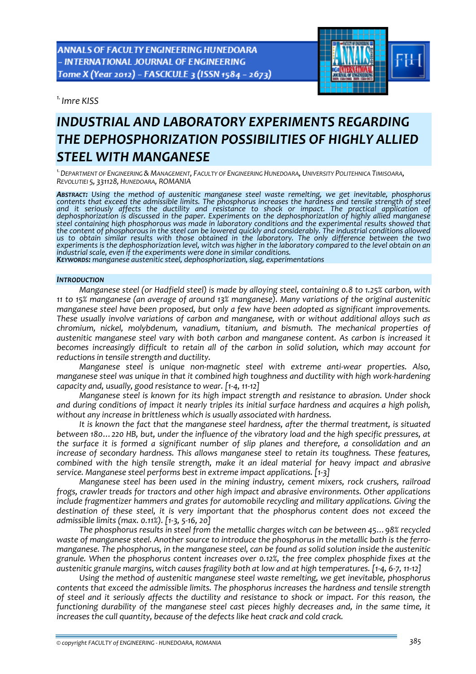ANNALS OF FACULTY ENGINEERING HUNEDOARA - INTERNATIONAL JOURNAL OF ENGINEERING Tome X (Year 2012) - FASCICULE 3 (ISSN 1584 - 2673)

*1. Imre KISS* 



# *INDUSTRIAL AND LABORATORY EXPERIMENTS REGARDING THE DEPHOSPHORIZATION POSSIBILITIES OF HIGHLY ALLIED STEEL WITH MANGANESE*

*1.DEPARTMENT OF ENGINEERING & MANAGEMENT, FACULTY OF ENGINEERING HUNEDOARA, UNIVERSITY POLITEHNICA TIMISOARA, REVOLUTIEI 5, 331128, HUNEDOARA, ROMANIA*

*ABSTRACT: Using the method of austenitic manganese steel waste remelting, we get inevitable, phosphorus contents that exceed the admissible limits. The phosphorus increases the hardness and tensile strength of steel* dephosphorization is discussed in the paper. Experiments on the dephosphorization of highly allied manganese<br>steel containing high phosphorous was made in laboratory conditions and the experimental results showed that the content of phosphorous in the steel can be lowered quickly and considerably. The industrial conditions allowed *us to obtain similar results with those obtained in the laboratory. The only difference between the two* experiments is the dephosphorization level, witch was higher in the laboratory compared to the level obtain on an industrial scale, even if the experiments were done in similar conditions.<br>Keywords: manganese austenitic steel, dephosphorization, slag, experimentations

#### *INTRODUCTION*

*Manganese steel (or Hadfield steel) is made by alloying steel, containing 0.8 to 1.25% carbon, with 11 to 15% manganese (an average of around 13% manganese). Many variations of the original austenitic manganese steel have been proposed, but only a few have been adopted as significant improvements. These usually involve variations of carbon and manganese, with or without additional alloys such as chromium, nickel, molybdenum, vanadium, titanium, and bismuth. The mechanical properties of austenitic manganese steel vary with both carbon and manganese content. As carbon is increased it becomes increasingly difficult to retain all of the carbon in solid solution, which may account for reductions in tensile strength and ductility.*

*Manganese steel is unique non‐magnetic steel with extreme anti‐wear properties. Also, manganese steel was unique in that it combined high toughness and ductility with high work‐hardening capacity and, usually, good resistance to wear. [1‐4, 11‐12]*

*Manganese steel is known for its high impact strength and resistance to abrasion. Under shock* and during conditions of impact it nearly triples its initial surface hardness and acquires a high polish, *without any increase in brittleness which is usually associated with hardness.* 

*It is known the fact that the manganese steel hardness, after the thermal treatment, is situated between 180…220 HB, but, under the influence of the vibratory load and the high specific pressures, at the surface it is formed a significant number of slip planes and therefore, a consolidation and an increase of secondary hardness. This allows manganese steel to retain its toughness. These features, combined with the high tensile strength, make it an ideal material for heavy impact and abrasive service. Manganese steel performs best in extreme impact applications. [1‐3]*

*Manganese steel has been used in the mining industry, cement mixers, rock crushers, railroad frogs, crawler treads for tractors and other high impact and abrasive environments. Other applications include fragmentizer hammers and grates for automobile recycling and military applications. Giving the destination of these steel, it is very important that the phosphorus content does not exceed the admissible limits (max. 0.11%). [1‐3, 5‐16, 20]*

*The phosphorus results in steel from the metallic charges witch can be between 45…98% recycled* waste of manganese steel. Another source to introduce the phosphorus in the metallic bath is the ferro*manganese. The phosphorus, in the manganese steel, can be found as solid solution inside the austenitic granule. When the phosphorus content increases over 0.12%, the free complex phosphide fixes at the* austenitic granule margins, witch causes fragility both at low and at high temperatures. [1-4, 6-7, 11-12]

*Using the method of austenitic manganese steel waste remelting, we get inevitable, phosphorus contents that exceed the admissible limits. The phosphorus increases the hardness and tensile strength* of steel and it seriously affects the ductility and resistance to shock or impact. For this reason, the *functioning durability of the manganese steel cast pieces highly decreases and, in the same time, it increases the cull quantity, because of the defects like heat crack and cold crack.*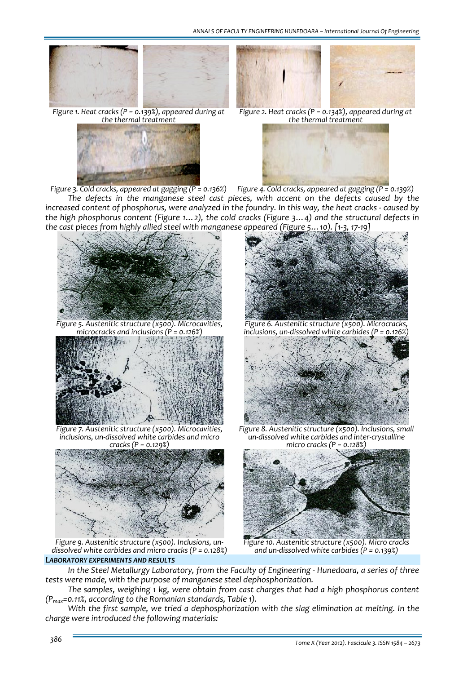



*Figure 1. Heat cracks (P = 0.139%), appeared during at the thermal treatment*



*Figure 2. Heat cracks (P = 0.134%), appeared during at the thermal treatment*



Figure 3. Cold cracks, appeared at gagging (P = 0.136%) Figure 4. Cold cracks, appeared at gagging (P = 0.139%) *The defects in the manganese steel cast pieces, with accent on the defects caused by the* increased content of phosphorus, were analyzed in the foundry. In this way, the heat cracks - caused by *the high phosphorus content (Figure 1…2), the cold cracks (Figure 3…4) and the structural defects in the cast pieces from highly allied steel with manganese appeared (Figure 5…10). [1‐3, 17‐19]*



*Figure 5. Austenitic structure (x500). Microcavities, microcracks and inclusions (P = 0.126%)*



*Figure 7. Austenitic structure (x500). Microcavities, inclusions, un‐dissolved white carbides and micro*



*Figure 9. Austenitic structure (x500). Inclusions, un‐ dissolved white carbides and micro cracks (P = 0.128%)*

### *LABORATORY EXPERIMENTS AND RESULTS*



*Figure 6. Austenitic structure (x500). Microcracks, inclusions, un‐dissolved white carbides (P = 0.126%)*



*Figure 8. Austenitic structure (x500). Inclusions, small un‐dissolved white carbides and inter‐crystalline micro cracks (P = 0.128%)*



*Figure 10. Austenitic structure (x500). Micro cracks and un‐dissolved white carbides (P = 0.139%)*

*In the Steel Metallurgy Laboratory, from the Faculty of Engineering ‐ Hunedoara, a series of three tests were made, with the purpose of manganese steel dephosphorization.*

*The samples, weighing 1 kg, were obtain from cast charges that had a high phosphorus content (Pmax=0.11%, according to the Romanian standards, Table 1).*

*With the first sample, we tried a dephosphorization with the slag elimination at melting. In the charge were introduced the following materials:*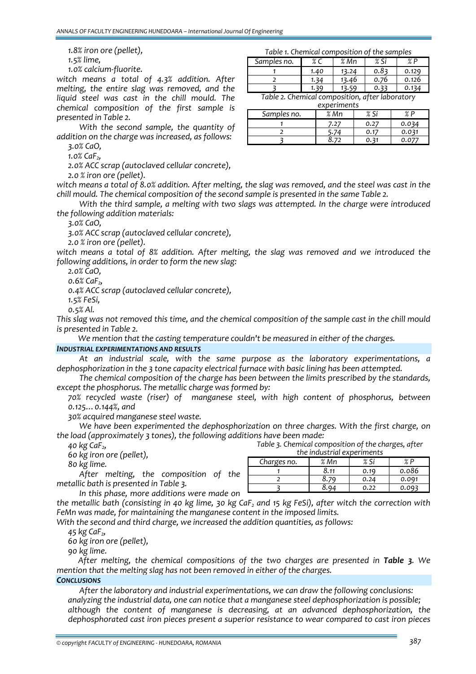*1.8% iron ore (pellet),*

*1.5% lime,*

*1.0% calcium‐fluorite.*

*witch means a total of 4.3% addition. After melting, the entire slag was removed, and the liquid steel was cast in the chill mould. The chemical composition of the first sample is presented in Table 2.*

*With the second sample, the quantity of addition on the charge was increased, as follows:* 

*3.0% CaO,*

*1.0% CaF2,*

*2.0% ACC scrap (autoclaved cellular concrete),*

*2.0 % iron ore (pellet).*

witch means a total of 8.0% addition. After melting, the slag was removed, and the steel was cast in the *chill mould. The chemical composition of the second sample is presented in the same Table 2.*

*With the third sample, a melting with two slags was attempted. In the charge were introduced the following addition materials:*

*3.0% CaO,*

*3.0% ACC scrap (autoclaved cellular concrete),*

*2.0 % iron ore (pellet).*

*witch means a total of 8% addition. After melting, the slag was removed and we introduced the following additions, in order to form the new slag:*

*2.0% CaO,*

*0.6% CaF2,*

*0.4% ACC scrap (autoclaved cellular concrete),*

*1.5% FeSi,*

*0.5% Al.*

This slag was not removed this time, and the chemical composition of the sample cast in the chill mould *is presented in Table 2.*

*We mention that the casting temperature couldn't be measured in either of the charges.*

### *INDUSTRIAL EXPERIMENTATIONS AND RESULTS*

*At an industrial scale, with the same purpose as the laboratory experimentations, a dephosphorization in the 3 tone capacity electrical furnace with basic lining has been attempted.* 

*The chemical composition of the charge has been between the limits prescribed by the standards, except the phosphorus. The metallic charge was formed by:*

 *70% recycled waste (riser) of manganese steel, with high content of phosphorus, between 0.125…0.144%, and*

*30% acquired manganese steel waste.* 

*We have been experimented the dephosphorization on three charges. With the first charge, on the load (approximately 3 tones), the following additions have been made: Table 3. Chemical composition of the charges, after*

 *40 kg CaF2, 60 kg iron ore (pellet),*

*80 kg lime.*

*After melting, the composition of the metallic bath is presented in Table 3.*

*In this phase, more additions were made on*

the metallic bath (consisting in 40 kg lime, 30 kg CaF<sub>2</sub> and 15 kg FeSi), after witch the correction with *FeMn was made, for maintaining the manganese content in the imposed limits.*

*With the second and third charge, we increased the addition quantities, as follows:*

*45 kg CaF2,*

*60 kg iron ore (pellet),*

*90 kg lime.*

*After melting, the chemical compositions of the two charges are presented in Table 3. We mention that the melting slag has not been removed in either of the charges.*

### *CONCLUSIONS*

*After the laboratory and industrial experimentations, we can draw the following conclusions: analyzing the industrial data, one can notice that a manganese steel dephosphorization is possible; although the content of manganese is decreasing, at an advanced dephosphorization, the dephosphorated cast iron pieces present a superior resistance to wear compared to cast iron pieces*

| Samples no. | 0/   | Mn<br>O/ | $\mathbf{C}$ : |       |
|-------------|------|----------|----------------|-------|
|             | 1.40 |          | о-             |       |
|             |      | 46       | 76             | 0.126 |

*3 1.39 13.59 0.33 0.134*

*Table 2. Chemical composition, after laboratory*

| experiments |         |      |       |  |  |
|-------------|---------|------|-------|--|--|
| Samples no. | $\%$ Mn | % Si |       |  |  |
|             | 7.27    | 0.27 | 0.034 |  |  |
|             |         | 0.17 | 0.031 |  |  |
|             |         |      |       |  |  |

*the industrial experiments Charges no. % Mn % Si % P 1 8.11 0.19 0.086 2 8.79 0.24 0.091 3 8.94 0.22 0.093*